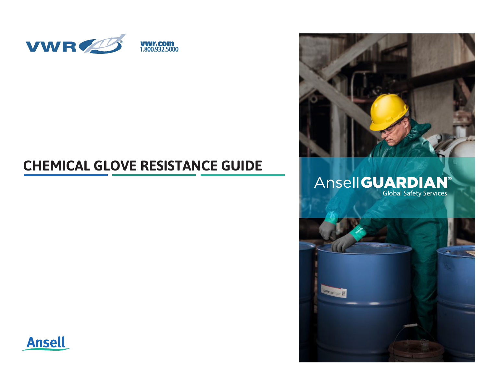

# **CHEMICAL GLOVE RESISTANCE GUIDE**



# Ansell GUARDIAN®



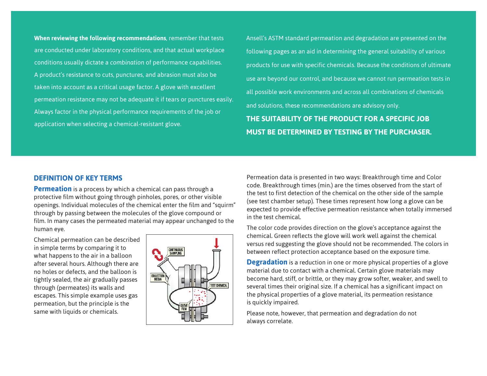**When reviewing the following recommendations**, remember that tests are conducted under laboratory conditions, and that actual workplace conditions usually dictate a *combination* of performance capabilities. A product's resistance to cuts, punctures, and abrasion must also be taken into account as a critical usage factor. A glove with excellent permeation resistance may not be adequate it if tears or punctures easily. Always factor in the physical performance requirements of the job or application when selecting a chemical-resistant glove.

Ansell's ASTM standard permeation and degradation are presented on the following pages as an aid in determining the general suitability of various products for use with specific chemicals. Because the conditions of ultimate use are beyond our control, and because we cannot run permeation tests in all possible work environments and across all combinations of chemicals and solutions, these recommendations are advisory only.

**THE SUITABILITY OF THE PRODUCT FOR A SPECIFIC JOB MUST BE DETERMINED BY TESTING BY THE PURCHASER.**

### **DEFINITION OF KEY TERMS**

**Permeation** is a process by which a chemical can pass through a protective film without going through pinholes, pores, or other visible openings. Individual molecules of the chemical enter the film and "squirm" through by passing between the molecules of the glove compound or film. In many cases the permeated material may appear unchanged to the human eye.

Chemical permeation can be described in simple terms by comparing it to what happens to the air in a balloon after several hours. Although there are no holes or defects, and the balloon is tightly sealed, the air gradually passes through (permeates) its walls and escapes. This simple example uses gas permeation, but the principle is the same with liquids or chemicals.



Permeation data is presented in two ways: Breakthrough time and Color code. Breakthrough times (min.) are the times observed from the start of the test to first detection of the chemical on the other side of the sample (see test chamber setup). These times represent how long a glove can be expected to provide effective permeation resistance when totally immersed in the test chemical.

The color code provides direction on the glove's acceptance against the chemical. Green reflects the glove will work well against the chemical versus red suggesting the glove should not be recommended. The colors in between reflect protection acceptance based on the exposure time.

**Degradation** is a reduction in one or more physical properties of a glove material due to contact with a chemical. Certain glove materials may become hard, stiff, or brittle, or they may grow softer, weaker, and swell to several times their original size. If a chemical has a significant impact on the physical properties of a glove material, its permeation resistance is quickly impaired.

Please note, however, that permeation and degradation do not always correlate.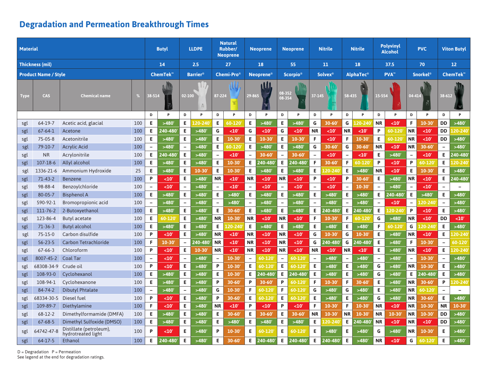| <b>Material</b> |                             |                                               |     |                          | <b>Butyl</b> |                          | <b>LLDPE</b>              |                          | <b>Natural</b><br>Rubber/<br><b>Neoprene</b> |                          | <b>Neoprene</b> |                          | <b>Neoprene</b>  |                          | <b>Nitrile</b> |                          | <b>Nitrile</b> | <b>Polyvinyl</b><br><b>Alcohol</b> |           | <b>PVC</b>               |            | <b>Viton Butyl</b>       |                          |
|-----------------|-----------------------------|-----------------------------------------------|-----|--------------------------|--------------|--------------------------|---------------------------|--------------------------|----------------------------------------------|--------------------------|-----------------|--------------------------|------------------|--------------------------|----------------|--------------------------|----------------|------------------------------------|-----------|--------------------------|------------|--------------------------|--------------------------|
|                 | <b>Thickness (mil)</b>      |                                               |     | 14                       |              | 2.5                      |                           |                          | 27                                           |                          | 18              | 55                       |                  | 11                       |                | 18                       |                | 37.5                               |           | 70                       |            | 12 <sup>2</sup>          |                          |
|                 | <b>Product Name / Style</b> |                                               |     | ChemTek <sup>™</sup>     |              | <b>Barrier®</b>          |                           |                          | <b>Chemi-Pro</b> ®                           |                          | <b>Neoprene</b> |                          | <b>Scorpio</b> ® | <b>Solvex</b> ®          |                | <b>AlphaTec®</b>         |                | PVA <sup>™</sup>                   |           | <b>Snorkel®</b>          |            | ChemTek <sup>™</sup>     |                          |
|                 |                             |                                               |     |                          |              |                          |                           |                          |                                              |                          | <b>M</b>        |                          |                  |                          |                |                          |                |                                    |           |                          |            |                          |                          |
| Type            | <b>CAS</b>                  | <b>Chemical name</b>                          |     |                          | 38-514       |                          | 02-100<br>$\frac{\pi}{2}$ |                          | 87-224                                       |                          | 29-865<br>ब     |                          | 08-352<br>08-354 |                          | 37-145         | 58-435                   |                | 15-554                             |           | 04-414                   |            | 38-612                   | Chambée<br>Road          |
|                 |                             |                                               |     | D                        | P            | D                        | P                         | D                        | P                                            | D                        | P               | D                        | P                | D                        | P              | D                        | P              | D                                  | P         | D                        | P          | D                        | P                        |
| sgl             | 64-19-7                     | Acetic acid, glacial                          | 100 | E.                       | >480'        | E                        | $20 - 240$                | E.                       | 60-120                                       | E                        | >480            | E                        | >480'            | G                        | $30 - 60$      | G                        | $20 - 240$     | <b>NR</b>                          | $10$      | F.                       | 10-30      | <b>DD</b>                | >480'                    |
| sgl             | $67 - 64 - 1$               | Acetone                                       | 100 | E.                       | 240-480      | E                        | >480'                     | G                        | $10'$                                        | G                        | $10'$           | G                        | <10              | <b>NR</b>                | <10'           | <b>NR</b>                | $10$           | P                                  | 60-120    | <b>NR</b>                | <10        | <b>DD</b>                | 20-240                   |
| sgl             | 75-05-8                     | Acetonitrile                                  | 100 | E.                       | >480'        | E                        | >480'                     | Е                        | 10-30                                        | Е                        | 10-30           | Е                        | 10-30            | F.                       | $10$           | F                        | 10-30          | E                                  | 60-120    | <b>NR</b>                | $10$       | <b>DD</b>                | >480'                    |
| sgl             | 79-10-7                     | <b>Acrylic Acid</b>                           | 100 | $\equiv$                 | >480'        | $\overline{\phantom{a}}$ | >480'                     | E                        | 60-120                                       | E                        | >480'           | Е                        | >480'            | G                        | $30 - 60'$     | G                        | $30 - 60'$     | <b>NR</b>                          | $10$      | <b>NR</b>                | 30-60      | $\blacksquare$           | >480                     |
| sgl             | <b>NR</b>                   | Acrylonitrile                                 | 100 | Е.                       | 240-480      | E                        | >480'                     | $\equiv$                 | <10'                                         | $\overline{\phantom{a}}$ | 30-60           | $\overline{\phantom{0}}$ | 30-60            | $\blacksquare$           | <10'           | $\overline{\phantom{a}}$ | <10'           | E                                  | >480'     | $\overline{\phantom{0}}$ | <10'       | E.                       | 240-480                  |
| sgl             | $107 - 18 - 6$              | <b>Allyl alcohol</b>                          | 100 | E.                       | >480'        | E                        | >480'                     | E                        | 10-30                                        | E                        | 240-480         | E                        | 240-480          | F.                       | 30-60          | F                        | 60-120         | P                                  | <10'      | P                        | 60-120     | E                        | 20-240                   |
| sgl             | 1336-21-6                   | Ammonium Hydroxide                            | 25  | E.                       | >480'        | Е                        | 10-30                     | Е                        | 10-30                                        | E                        | >480            | Е                        | >480'            | E.                       | 20-240         | Е                        | >480           | <b>NR</b>                          | <10'      | E                        | $10 - 30$  | E                        | >480'                    |
| sgl             | $71 - 43 - 2$               | <b>Benzene</b>                                | 100 | P                        | <10          | E                        | >480'                     | <b>NR</b>                | <10                                          | <b>NR</b>                | <10             | <b>NR</b>                | <10'             | P                        | <10'           | P                        | 30-60          | E                                  | >480'     | <b>NR</b>                | <10        | Е                        | 240-480                  |
| sgl             | 98-88-4                     | Benzoylchloride                               | 100 | $\qquad \qquad -$        | $10$         | ÷,                       | >480'                     | $\overline{\phantom{m}}$ | <10                                          | $\overline{\phantom{a}}$ | <10             | $\overline{\phantom{0}}$ | <10'             | $\overline{\phantom{0}}$ | $10$           | $\overline{\phantom{m}}$ | $10 - 30$      | $\overline{\phantom{a}}$           | >480'     | $\overline{\phantom{0}}$ | $10$       | $\overline{\phantom{0}}$ | $\overline{\phantom{0}}$ |
| sgl             | 80-05-7                     | <b>Bisphenol A</b>                            | 100 | E.                       | >480'        | E                        | >480'                     | E                        | >480'                                        | E                        | >480'           | E                        | >480'            | E.                       | >480'          | E                        | >480'          | E                                  | 40-480    | E                        | >480'      | E                        | >480                     |
| sgl             | 590-92-1                    | Bromopropionic acid                           | 100 | $\qquad \qquad -$        | >480'        |                          | >480'                     | $\overline{\phantom{0}}$ | >480'                                        | $\overline{\phantom{a}}$ | >480'           |                          | >480'            | $\overline{\phantom{0}}$ | >480'          | $\overline{\phantom{a}}$ | >480           | $\overline{\phantom{a}}$           | <10'      |                          | $20 - 240$ | $\overline{\phantom{0}}$ | >480                     |
| sgl             | 111-76-2                    | 2-Butoxyethanol                               | 100 | E.                       | >480'        | E                        | >480'                     | E.                       | $30 - 60'$                                   | Е                        | >480'           | E                        | >480'            | E.                       | 240-480        | E                        | 240-480        | E                                  | 20-240    | P                        | <10'       | E                        | >480'                    |
| sgl             | 123-86-4                    | <b>Butyl acetate</b>                          | 100 | E.                       | 60-120       | Е                        | >480'                     | <b>NR</b>                | $10 - 30'$                                   | <b>NR</b>                | <10'            | <b>NR</b>                | <10'             | F.                       | $10 - 30'$     | F                        | 60-120         | G                                  | >480'     | <b>NR</b>                | <10'       | <b>DD</b>                | <10'                     |
| sgl             | $71-36-3$                   | <b>Butyl alcohol</b>                          | 100 | Е                        | >480'        | Е                        | >480'                     | Е                        | $.20 - 240$                                  | E                        | >480            | Е                        | >480'            | E.                       | >480'          | E                        | >480'          | F                                  | 60-120    | G                        | .20-240    | E.                       | >480'                    |
| sgl             | $75 - 15 - 0$               | Carbon disulfide                              | 100 | P                        | <10'         | Е                        | >480'                     | <b>NR</b>                | <10'                                         | <b>NR</b>                | <10'            | <b>NR</b>                | $10$             | G                        | $10 - 30'$     | G                        | 10-30          | E                                  | >480'     | <b>NR</b>                | <10'       | E.                       | $20 - 240$               |
| sgl             | $56 - 23 - 5$               | <b>Carbon Tetrachloride</b>                   | 100 | F.                       | $10 - 30$    | $\overline{\phantom{a}}$ | 240-480'                  | <b>NR</b>                | $10$                                         | <b>NR</b>                | <10'            | <b>NR</b>                | <10'             | G                        | 240-480        | G                        | 240-480        | E                                  | >480'     | F                        | $10 - 30$  | $\overline{\phantom{a}}$ | 60-120                   |
| sgl             | $67 - 66 - 3$               | Chloroform                                    | 100 | P                        | <10'         | E                        | $10 - 30$                 | <b>NR</b>                | $10$                                         | <b>NR</b>                | <10'            | <b>NR</b>                | <10'             | <b>NR</b>                | <10'           | <b>NR</b>                | $10$           | E                                  | >480'     | <b>NR</b>                | $10$       | E                        | 20-240                   |
| sgl             | 8007-45-2                   | <b>Coal Tar</b>                               | 100 | $\overline{\phantom{0}}$ | <10          | ÷,                       | >480'                     | $\overline{\phantom{a}}$ | 10-30                                        | $\overline{\phantom{a}}$ | 60-120          | $\overline{\phantom{0}}$ | 60-120           | $\overline{\phantom{0}}$ | >480'          | $\overline{\phantom{a}}$ | >480'          | $\overline{\phantom{a}}$           | >480'     | $\overline{\phantom{0}}$ | $10 - 30$  | $\overline{\phantom{0}}$ | >480                     |
| sgl             | 68308-34-9                  | Crude oil                                     | 100 | P                        | $10$         | Е                        | >480'                     | P                        | 10-30                                        | E                        | 60-120          | Е                        | 60-120           | E.                       | >480'          | E                        | >480'          | G                                  | >480'     | <b>NR</b>                | $10 - 30$  | Е                        | >480                     |
| sgl             | 108-93-0                    | Cyclohexanol                                  | 100 | E.                       | >480'        | Е                        | >480'                     | Е                        | 10-30                                        | E                        | 240-480         | Е                        | 240-480          | E.                       | >480'          | E                        | >480           | G                                  | >480'     | Е.                       | 240-480    | Е                        | >480'                    |
| sgl             | 108-94-1                    | Cyclohexanone                                 | 100 | E.                       | >480'        | E                        | >480'                     | P                        | 30-60                                        | P                        | $30 - 60$       | P                        | 60-120'          | F.                       | $10 - 30'$     | F                        | 30-60          | E                                  | >480'     | <b>NR</b>                | 30-60      | P                        | 20-240                   |
| sgl             | 84-74-2                     | <b>Dibutyl Phtalate</b>                       | 100 | $\overline{\phantom{a}}$ | >480'        | $\overline{a}$           | >480'                     | G                        | 10-30                                        | F                        | 60-120          | F                        | 60-120           | G                        | >480'          | G                        | >480           | E                                  | >480'     | <b>NR</b>                | 60-120     | $\overline{\phantom{a}}$ | $\equiv$                 |
| sgl             | 68334-30-5                  | Diesel fuel                                   | 100 | P                        | $10$         | E                        | >480'                     | P                        | 30-60                                        | E                        | 60-120          | E                        | 60-120           | E.                       | >480'          | E                        | >480'          | G                                  | >480'     | ΝR                       | 30-60      | E.                       | >480'                    |
| sgl             | 109-89-7                    | <b>Diethylamine</b>                           | 100 | F.                       | <10          | E                        | >480'                     | <b>NR</b>                | $10$                                         | P                        | <10'            | P                        | <10'             | F                        | $10 - 30'$     | F                        | 10-30          | <b>NR</b>                          | <10'      | <b>NR</b>                | $10 - 30$  | <b>NR</b>                | $10 - 30'$               |
| sgl             | 68-12-2                     | Dimethylformamide (DMFA)                      | 100 | Е                        | >480'        | Е                        | >480'                     | Е.                       | 30-60'                                       | E                        | $30 - 60$       | Е                        | 30-60            | <b>NR</b>                | $10 - 30'$     | <b>NR</b>                | $10 - 30$      | <b>NR</b>                          | $10 - 30$ | <b>NR</b>                | $10 - 30$  | <b>DD</b>                | >480'                    |
| sgl             | $67 - 68 - 5$               | Dimethyl Sulfoxide (DMSO)                     | 100 | E.                       | >480'        | E                        | >480'                     | E.                       | >480'                                        | E                        | >480'           | Е                        | >480'            | E.                       | 20-240         | E                        | 240-480        | <b>NR</b>                          | <10       | <b>NR</b>                | $10'$      | <b>DD</b>                | >480                     |
| sgl             | 64742-47-8                  | Distillate (petroleum),<br>hydrotreated light | 100 | P                        | <10          | E                        | >480'                     | P                        | 10-30                                        | E                        | 60-120          | Е                        | 60-120           | E.                       | >480'          | E                        | >480           | G                                  | >480'     | ΝR                       | $10 - 30$  | E                        | >480                     |
| sgl             | $64-17-5$                   | Ethanol                                       | 100 | Е                        | 240-480      | E                        | >480'                     | E.                       | 30-60                                        | E                        | 240-480         | Е                        | 240-480          | E.                       | 240-480        | E                        | >480'          | <b>NR</b>                          | <10'      | G                        | 60-120     | Е                        | >480'                    |

 $D = Degradation$   $P = Permeation$ <br>See legend at the end for degradation ratings.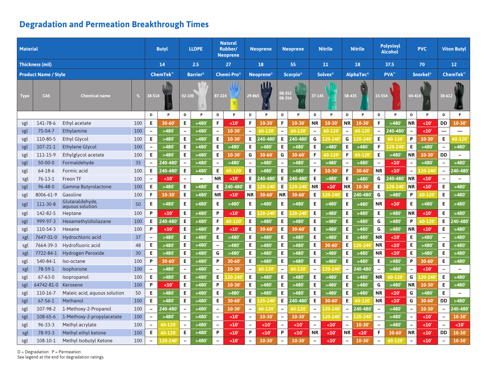| <b>Material</b> |                             |                                    |     |                          | <b>Butyl</b> |                              | <b>LLDPE</b>             |                          | <b>Natural</b><br>Rubber/<br><b>Neoprene</b> |                          | <b>Neoprene</b>   |                          | Neoprene         |                          | Nitrile              |                          | <b>Nitrile</b>   | <b>Polyvinyl</b><br><b>Alcohol</b> |           | <b>PVC</b>                 |             | <b>Viton Butyl</b>       |                          |
|-----------------|-----------------------------|------------------------------------|-----|--------------------------|--------------|------------------------------|--------------------------|--------------------------|----------------------------------------------|--------------------------|-------------------|--------------------------|------------------|--------------------------|----------------------|--------------------------|------------------|------------------------------------|-----------|----------------------------|-------------|--------------------------|--------------------------|
|                 | <b>Thickness (mil)</b>      |                                    |     | 14                       |              |                              | 2.5                      |                          | 27                                           |                          | 18                |                          | 55               |                          | 11                   | 18                       |                  | 37.5                               |           |                            | 70          |                          | 12 <sup>2</sup>          |
|                 | <b>Product Name / Style</b> |                                    |     | ChemTek <sup>™</sup>     |              | <b>Barrier®</b>              |                          |                          | <b>Chemi-Pro</b> ®                           |                          | <b>Neoprene</b> ® |                          | <b>Scorpio</b> ® |                          | <b>Solvex®</b>       |                          | <b>AlphaTec®</b> | PVA <sup>™</sup>                   |           | <b>Snorkel<sup>®</sup></b> |             | ChemTek <sup>™</sup>     |                          |
|                 |                             |                                    |     |                          |              |                              |                          |                          |                                              |                          | <b>AM</b>         |                          |                  |                          |                      |                          |                  |                                    |           |                            |             |                          |                          |
| <b>Type</b>     | <b>CAS</b>                  | <b>Chemical name</b>               |     | 38-514                   |              | 02-100<br>$\frac{\pi}{2\pi}$ |                          |                          | 87-224                                       |                          | 29-865<br>西       |                          | 08-352<br>08-354 |                          | 37-145               |                          | 58-435           | 15-554                             |           | 04-414                     |             | 38-612                   |                          |
|                 |                             |                                    |     | D                        | P            | D                            | P                        | D                        | P                                            | D                        | P                 | D                        | P                | D                        | P                    | D                        | P                | D                                  | P         | D                          | P           | D                        | P                        |
| sgl             | 141-78-6                    | Ethyl acetate                      | 100 | Е                        | 30-60        | Е                            | >480'                    | F.                       | $10$                                         | F.                       | 10-30             | F                        | 10-30            | <b>NR</b>                | $10 - 30'$           | <b>NR</b>                | $10 - 30$        | F                                  | >480      | <b>NR</b>                  | $10'$       | <b>DD</b>                | $10-30'$                 |
| sgl             | 75-04-7                     | Ethylamine                         | 100 | $\overline{\phantom{0}}$ | >480         | $\overline{\phantom{a}}$     | >480'                    | $\overline{\phantom{0}}$ | 10-30                                        | $\overline{\phantom{a}}$ | 60-120            | $\overline{\phantom{0}}$ | 60-120           | $\overline{\phantom{a}}$ | 60-120               | $\overline{\phantom{a}}$ | 60-120           | $\overline{\phantom{a}}$           | 240-480'  | $\overline{\phantom{0}}$   | $10$        | $\overline{\phantom{0}}$ | $\overline{\phantom{0}}$ |
| sgl             | 110-80-5                    | <b>Ethyl Glycol</b>                | 100 | E.                       | >480         | E                            | >480'                    | E.                       | 10-30                                        | E                        | 240-480           | Е                        | 240-480          | G                        | $20 - 240$           | G                        | $20 - 240$       | E                                  | 60-120    | P                          | $10 - 30$   | Е                        | 60-120                   |
| sgl             | 107-21-1                    | <b>Ethylene Glycol</b>             | 100 | $\overline{\phantom{0}}$ | >480         | Е                            | >480'                    | E                        | >480'                                        | E                        | >480'             | Е                        | >480'            | E.                       | >480'                | E                        | >480             | F                                  | 20-240    | Е                          | >480'       | $\overline{\phantom{m}}$ | >480'                    |
| sgl             | 111-15-9                    | Ethylglycol acetate                | 100 | E.                       | >480         | E                            | >480'                    | E                        | 10-30                                        | G                        | $30 - 60$         | G                        | $30 - 60$        | F.                       | 60-120               | F                        | 60-120           | E                                  | >480'     | ΝR                         | 10-30       | DD                       | $\overline{\phantom{0}}$ |
| sgl             | $50-00-0$                   | Formaldehyde                       | 35  |                          | 240-480      |                              | >480'                    |                          | >480                                         | $\overline{\phantom{a}}$ | >480'             |                          | >480'            |                          | >480'                |                          | >480'            | $\overline{\phantom{a}}$           | <10'      |                            | >480'       | $\overline{\phantom{0}}$ | >480'                    |
| sgl             | 64-18-6                     | Formic acid                        | 100 | E                        | 240-480      | E                            | >480'                    | Е                        | 60-120                                       | E                        | >480              | Е                        | >480'            | F                        | $10 - 30'$           | F                        | $30 - 60$        | <b>NR</b>                          | $10$      |                            | $.20 - 240$ | $\overline{\phantom{0}}$ | 240-480                  |
| sgl             | 76-13-1                     | Freon TF                           | 100 | $\qquad \qquad -$        | $10$         | $\overline{\phantom{0}}$     | $\overline{\phantom{a}}$ | <b>NR</b>                | <10'                                         | E                        | 240-480           | Е                        | '40-480          | E.                       | >480'                | E                        | >480'            | G                                  | 240-480'  | <b>NR</b>                  | <10'        | $\overline{\phantom{0}}$ | $\overline{\phantom{0}}$ |
| sgl             | 96-48-0                     | Gamma Butyrolactone                | 100 | Е                        | >480         | Е                            | >480'                    | Е                        | $40 - 480$                                   | E                        | $20 - 240$        | Е                        | 20-240           | <b>NR</b>                | $10$                 | <b>NR</b>                | 10-30            | Е                                  | 20-240    | <b>NR</b>                  | <10'        | Е                        | >480                     |
| sgl             | 8006-61-9                   | Gasoline                           | 100 | F                        | 10-30        | E                            | >480'                    | <b>NR</b>                | <10'                                         | <b>NR</b>                | $30 - 60$         | <b>NR</b>                | $30 - 60'$       | E.                       | $20 - 240$           | E                        | 240-480          | G                                  | >480'     | P                          | 60-120      | E.                       | >480                     |
| sgl             | 111-30-8                    | Glutaraldehyde,<br>aguous solution | 50  | Е                        | >480         | E                            | >480'                    | E.                       | >480'                                        | Е                        | >480              | Е                        | >480'            | E.                       | >480'                | E                        | >480'            | <b>NR</b>                          | $10$      | E                          | >480'       | Е                        | >480'                    |
| sgl             | 142-82-5                    | Heptane                            | 100 | P                        | $10$         | Е                            | >480'                    | P                        | $10'$                                        | Е                        | $20 - 24$         | Е                        | 20-240           | Е                        | >480'                | Е                        | >480'            | E                                  | >480'     | <b>NR</b>                  | $10$        | E.                       | >480'                    |
| sgl             | 999-97-3                    | Hexamethyldisilazane               | 100 | E.                       | 240-480      | E                            | >480'                    | F.                       | 60-120                                       | E                        | >480'             | E                        | >480'            | E.                       | >480'                | E                        | >480             | G                                  | >480'     | P                          | 60-120      | E                        | 240-480                  |
| sgl             | 110-54-3                    | Hexane                             | 100 | P                        | $10$         | Е                            | >480'                    | P                        | <10'                                         | E                        | 30-60             | Е                        | $30 - 60$        | E.                       | >480'                | E                        | >480             | G                                  | >480'     | <b>NR</b>                  | <10         | Е                        | >480'                    |
| sgl             | 7647-01-0                   | Hydrochloric acid                  | 37  | $\overline{\phantom{a}}$ | >480         | E                            | >480'                    | E.                       | >480                                         | E                        | >480              | E                        | >480'            | E.                       | >480'                | E.                       | >480'            | <b>NR</b>                          | $10$      | E                          | >480        | $\overline{\phantom{a}}$ | >480                     |
| sgl             | 7664-39-3                   | Hydrofluoric acid                  | 48  | Е                        | >480         | E                            | >480'                    | $\overline{\phantom{0}}$ | >480                                         | E                        | >480              | Е                        | >480'            | E.                       | 30-60                | Е                        | $20 - 24$        | <b>NR</b>                          | <10       | Е                          | >480        | Е                        | >480                     |
| sgl             | 7722-84-1                   | Hydrogen Peroxide                  | 30  | E                        | >480         | E                            | >480'                    | G                        | >480                                         | E                        | >480'             | Е                        | >480'            | Е                        | >480'                | E                        | >480'            | <b>NR</b>                          | <10'      | E                          | >480'       | E.                       | >480'                    |
| sgl             | 540-84-1                    | Iso-octane                         | 100 | P                        | $30 - 60$    | E                            | >480'                    | P                        | 30-60                                        | E                        | >480'             | E                        | >480'            | E                        | >480'                | E                        | >480             | E                                  | >480'     | P                          | 30-60       | E                        | >480                     |
| sgl             | 78-59-1                     | Isophorone                         | 100 | $\qquad \qquad -$        | >480         | $\overline{\phantom{a}}$     | >480'                    | $\overline{\phantom{a}}$ | 10-30                                        | $\overline{\phantom{a}}$ | 60-120            | $\equiv$                 | 60-120           | $\overline{a}$           | 20-240               | $\overline{\phantom{a}}$ | 240-480          |                                    | >480'     |                            | $10'$       | $\overline{\phantom{a}}$ | $\equiv$                 |
| sgl             | $67 - 63 - 0$               | Isopropanol                        | 100 | E.                       | >480         | Е                            | >480'                    | E                        | $20 - 240$                                   | Е                        | >480'             | E                        | >480'            | E.                       | >480'                | Е                        | >480'            | <b>NR</b>                          | 60-120    | G                          | $20 - 240$  | E                        | >480'                    |
| sgl             | 64742-81-0                  | Kerosene                           | 100 | P                        | $10$         | E                            | >480'                    | P                        | $10 - 30'$                                   | Е                        | >480'             | Е                        | >480'            | E.                       | >480'                | Е                        | >480             | G                                  | >480'     | <b>NR</b>                  | $10 - 30'$  | E.                       | >480'                    |
| sgl             | 110-16-7                    | Maleic acid, aquous solution       | 50  | E.                       | >480         | E                            | >480'                    | E.                       | >480'                                        | $\mathsf E$              | >480'             | E                        | >480'            | E.                       | >480'                | $\mathsf E$              | >480             | <b>NR</b>                          | <10'      | G                          | >480'       | E.                       | $\overline{\phantom{0}}$ |
| sgl             | $67 - 56 - 1$               | Methanol                           | 100 | E.                       | >480         | E                            | >480'                    | E.                       | 30-60                                        | E                        | $.20 - 24$        | Е                        | 240-480          | E.                       | $30 - 60$            | E                        | 60-120           | <b>NR</b>                          | $10$      | G                          | 30-60       | <b>DD</b>                | >480'                    |
| sgl             | 107-98-2                    | 1-Methoxy-2-Propanol               | 100 | $\qquad \qquad -$        | 240-480      | $\overline{\phantom{0}}$     | >480'                    | $\qquad \qquad -$        | $10 - 30'$                                   | $\overline{\phantom{a}}$ | 60-120            | $\overline{\phantom{a}}$ | 60-120           | $\qquad \qquad -$        | L <sub>20</sub> -240 | $\qquad \qquad -$        | 240-480          | $\overline{\phantom{a}}$           | >480'     | $\overline{\phantom{0}}$   | $10 - 30$   | $\overline{\phantom{a}}$ | 240-480                  |
| sgl             | 108-65-6                    | 1-Methoxy-2-propylacetate          | 100 | $\overline{\phantom{a}}$ | >480'        | $\overline{\phantom{m}}$     | >480'                    | $\overline{\phantom{a}}$ | <10'                                         | $\overline{\phantom{a}}$ | $10 - 30$         | $\qquad \qquad -$        | $10 - 30'$       | $\overline{\phantom{a}}$ | L <sub>20</sub> -240 | $\blacksquare$           | 120-240          | $\overline{\phantom{a}}$           | >480'     | $\overline{\phantom{0}}$   | $10$        | $\overline{\phantom{a}}$ | $10 - 30'$               |
| sgl             | $96 - 33 - 3$               | Methyl acrylate                    | 100 |                          | 60-120       | $\overline{\phantom{0}}$     | >480'                    | $\overline{\phantom{a}}$ | $10'$                                        | $\overline{\phantom{a}}$ | <10'              | $\overline{\phantom{0}}$ | <10              | $\overline{\phantom{a}}$ | <10'                 | $\overline{\phantom{a}}$ | $10-30$          | $\overline{\phantom{a}}$           | >480'     | $\overline{\phantom{0}}$   | $10'$       | $\overline{\phantom{m}}$ | $10'$                    |
| sgl             | 78-93-3                     | Methyl ethyl ketone                | 100 | E                        | 60-120       | E                            | >480'                    | P                        | $10$                                         | P                        | <10'              | P                        | $10$             | <b>NR</b>                | $10$                 | <b>NR</b>                | $10$             | F                                  | $30 - 60$ | ΝR                         | $10$        | DD                       | $10 - 30$                |
| sgl             | 108-10-1                    | Methyl Isobutyl Ketone             | 100 |                          | 120-240      |                              | >480'                    |                          | $10$                                         | $\overline{\phantom{a}}$ | 10-30             |                          | $10 - 30$        |                          | $10$                 | $\overline{\phantom{0}}$ | 10-30            | $\overline{\phantom{0}}$           | 60-120    |                            | $10'$       |                          | $10-30'$                 |

 $D = Degradation$   $P = Permeation$ <br>See legend at the end for degradation ratings.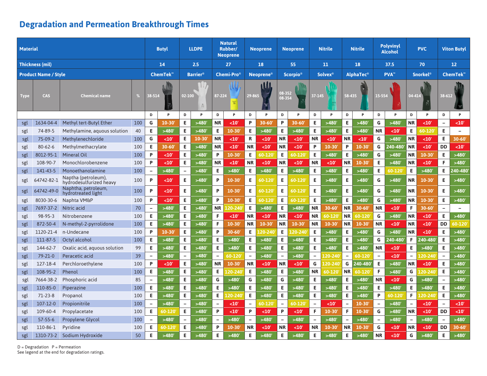| <b>Material</b> |                             |                                                |     |                          | <b>Butyl</b> |                          | <b>LLDPE</b> |                          | <b>Natural</b><br>Rubber/<br><b>Neoprene</b> |                          | <b>Neoprene</b>   |                          | <b>Neoprene</b>             |                          | <b>Nitrile</b> |                          | <b>Nitrile</b> | <b>Polyvinyl</b><br><b>Alcohol</b> |            | <b>PVC</b>                  |             | <b>Viton Butyl</b>       |                          |
|-----------------|-----------------------------|------------------------------------------------|-----|--------------------------|--------------|--------------------------|--------------|--------------------------|----------------------------------------------|--------------------------|-------------------|--------------------------|-----------------------------|--------------------------|----------------|--------------------------|----------------|------------------------------------|------------|-----------------------------|-------------|--------------------------|--------------------------|
|                 | Thickness (mil)             |                                                |     |                          | 14           |                          | 2.5          |                          | 27                                           |                          | 18                |                          | 55                          |                          | 11             | 18                       |                | 37.5                               |            |                             | 70          |                          | 12 <sup>2</sup>          |
|                 | <b>Product Name / Style</b> |                                                |     | <b>ChemTek</b>           |              | <b>Barrier®</b>          |              |                          | ${\sf Chemi\text{-}Pro^@}$                   |                          | <b>Neoprene</b>   |                          | <b>Scorpio</b> <sup>®</sup> | <b>Solvex</b> ®          |                | <b>AlphaTec®</b>         |                | PVA <sup>™</sup>                   |            | <b>Snorkel</b> <sup>®</sup> |             |                          | <b>ChemTek</b> "         |
| Type            | <b>CAS</b>                  | <b>Chemical name</b>                           |     |                          | 38-514       |                          | 02-100<br>罰  |                          | 87-224                                       |                          | 1W<br>29-865<br>面 | 08-352<br>08-354         |                             | 37-145                   |                | 58-435                   |                | 15-554                             |            | 04-414                      |             | 38-612                   | Cham <sup>2</sup>        |
|                 |                             |                                                |     | D                        | P            | D                        | P            | D                        | P                                            | D                        | P                 | D                        | P                           | D                        | P              | D                        | P              | D                                  | P          | D                           | P           | D                        | P                        |
| sgl             | 1634-04-4                   | Methyl tert-Butyl Ether                        | 100 | G                        | 10-30        | E                        | >480         | <b>NR</b>                | <10                                          | P                        | 30-60             | P                        | 30-60                       | Е                        | >480'          | Е                        | >480           | G                                  | >480'      | NR                          | <10         | $\overline{\phantom{a}}$ | <10'                     |
| sgl             | 74-89-5                     | Methylamine, aquous solution                   | 40  | Е                        | >480'        | Е                        | >480'        | Е                        | $10 - 30'$                                   | Е                        | >480'             | Е                        | >480'                       | E.                       | >480'          | E                        | >480           | <b>NR</b>                          | <10'       | Е                           | 60-120      | E                        | $\overline{\phantom{0}}$ |
| sgl             | 75-09-2                     | Methylenechloride                              | 100 | G                        | $10'$        | E                        | 10-30        | <b>NR</b>                | <10'                                         | R                        | <10'              | <b>NR</b>                | <10'                        | <b>NR</b>                | <10'           | <b>NR</b>                | $10$           | G                                  | >480'      | <b>NR</b>                   | <10'        | Е                        | 30-60                    |
| sgl             | 80-62-6                     | Methylmethacrylate                             | 100 | Е                        | $30 - 60$    | E                        | >480'        | <b>NR</b>                | <10'                                         | <b>NR</b>                | <10'              | <b>NR</b>                | <10'                        | P                        | $10-30'$       | P                        | $10 - 30$      | G                                  | 40-480     | <b>NR</b>                   | <10'        | <b>DD</b>                | <10'                     |
| sgl             | 8012-95-1                   | <b>Mineral Oil</b>                             | 100 | P                        | $10'$        | E                        | >480'        | P                        | 10-30'                                       | E                        | 60-120            | Е                        | 60-120                      | E                        | >480'          | E                        | >480           | G                                  | >480'      | <b>NR</b>                   | $10 - 30$   | E.                       | >480                     |
| sgl             | 108-90-7                    | Monochlorobenzene                              | 100 | P                        | $10'$        | E                        | >480'        | <b>NR</b>                | $10$                                         | <b>NR</b>                | $10'$             | <b>NR</b>                | $10'$                       | <b>NR</b>                | $10$           | <b>NR</b>                | 10-30          | E                                  | >480'      | ΝR                          | <10         | F.                       | >480                     |
| sgl             | 141-43-5                    | Monoethanolamine                               | 100 | $\qquad \qquad -$        | >480'        | $\overline{\phantom{a}}$ | >480'        | E                        | >480                                         | Е                        | >480'             | Е                        | >480'                       | Е                        | >480'          | Е                        | >480           | E                                  | 60-120     | E                           | >480'       | Е                        | 240-480                  |
| sgl             | 64742-82-1                  | Naptha (petroleum),<br>hydrodesulfurized heavy | 100 | P                        | $10$         | E                        | >480'        | P                        | 10-30                                        | Е                        | 60-120            | E.                       | 60-120                      | E.                       | >480'          | Е                        | >480'          | G                                  | >480'      | ΝR                          | $10 - 30$   | Е                        | >480                     |
| sgl             | 64742-49-0                  | Naphtha, petroleum,<br>hvdrotreated light      | 100 | P                        | $10'$        | Е                        | >480'        | P                        | 10-30'                                       | Е                        | 60-120            | Е                        | 60-120                      | E.                       | >480'          | E                        | >480'          | G                                  | >480'      | NR                          | $10 - 30$   | Е                        | >480'                    |
| sgl             | 8030-30-6                   | Naphta VM&P                                    | 100 | P                        | $10$         | E                        | >480'        | P                        | 10-30                                        | Е                        | 60-120            | E                        | 60-120'                     | E                        | >480'          | Е                        | >480'          | G                                  | >480       | ΝR                          | 10-30       | Е                        | >480'                    |
| sgl             | 7697-37-2                   | Nitric acid                                    | 70  |                          | >480'        | E                        | >480'        | ΝR                       | 20-240                                       | Е                        | >480'             | Е                        | >480'                       | <b>NR</b>                | 30-60          | <b>NR</b>                | 30-60          | <b>NR</b>                          | $10$       | F                           | $30 - 60$   | $\overline{\phantom{0}}$ | $\overline{\phantom{0}}$ |
| sgl             | 98-95-3                     | Nitrobenzene                                   | 100 | Е                        | >480'        | E                        | >480'        | F.                       | $<$ 10 $^{\circ}$                            | <b>NR</b>                | $10$              | <b>NR</b>                | $10$                        | <b>NR</b>                | 60-120         | <b>NR</b>                | 60-120         | G                                  | >480'      | <b>NR</b>                   | $<$ 10'     | Е                        | >480'                    |
| sgl             | 872-50-4                    | N-methyl-2-pyrrolidone                         | 100 | Е                        | >480'        | Е                        | >480'        | F                        | 10-30                                        | <b>NR</b>                | $10 - 30$         | <b>NR</b>                | 10-30                       | <b>NR</b>                | 10-30'         | <b>NR</b>                | $10 - 30$      | <b>NR</b>                          | $10'$      | <b>NR</b>                   | $10'$       | <b>DD</b>                | 60-120                   |
| sgl             | 1120-21-4                   | n-Undecane                                     | 100 | P                        | 10-30        | E                        | >480'        | P                        | 30-60                                        | Е                        | $20 - 24$         | Е                        | 20-240                      | Е                        | >480'          | Е                        | >480'          | G                                  | >480'      | <b>NR</b>                   | $10'$       | Е                        | >480'                    |
| sgl             | 111-87-5                    | Octyl alcohol                                  | 100 | Е.                       | >480'        | E                        | >480'        | E.                       | >480'                                        | Е                        | >480'             | E                        | >480'                       | E.                       | >480'          | Е                        | >480'          | G                                  | 40-480     | F.                          | 240-480     | Е                        | >480                     |
| sgl             | 144-62-7                    | Oxalic acid, aguous solution                   | 99  | Е.                       | >480'        | Е                        | >480'        | Е.                       | >480'                                        | Е                        | >480'             | E                        | >480'                       | E.                       | >480'          | Е                        | >480'          | <b>NR</b>                          | $10'$      | Е.                          | >480'       | Е                        | >480                     |
| sgl             | 79-21-0                     | Peracetic acid                                 | 39  | $\overline{\phantom{a}}$ | >480'        | $\overline{\phantom{a}}$ | >480'        | $\overline{\phantom{0}}$ | 60-120                                       | $\overline{\phantom{a}}$ | >480'             | $\overline{\phantom{a}}$ | >480'                       | $\overline{\phantom{a}}$ | 20-240         | $\overline{\phantom{a}}$ | 60-120         | $\overline{\phantom{0}}$           | $10'$      | $\overline{\phantom{0}}$    | $.20 - 240$ | $\overline{\phantom{a}}$ | >480                     |
| sgl             | 127-18-4                    | Perchloroethylene                              | 100 | P                        | $10'$        | E                        | >480'        | <b>NR</b>                | $10 - 30'$                                   | <b>NR</b>                | $10'$             | <b>NR</b>                | <10'                        | G                        | 20-240         | G                        | 240-480        | Е                                  | >480'      | <b>NR</b>                   | <10'        | Е                        | >480                     |
| sgl             | 108-95-2                    | Phenol                                         | 100 | E.                       | >480'        | E                        | >480'        | Е                        | .20-240                                      | Е                        | >480'             | E                        | >480'                       | <b>NR</b>                | 60-120         | <b>NR</b>                | 60-120         | F                                  | >480'      | G                           | $20 - 240$  | Е                        | >480                     |
| sgl             | 7664-38-2                   | Phosphoric acid                                | 85  | $\overline{\phantom{a}}$ | >480'        | Е                        | >480'        | G                        | >480'                                        | G                        | >480'             | G                        | >480'                       | E.                       | >480'          | Е                        | >480'          | <b>NR</b>                          | $10'$      | G                           | >480'       | $\overline{\phantom{a}}$ | >480                     |
| sgl             | 110-85-0                    | Piperazine                                     | 100 | Е.                       | >480'        | E                        | >480'        | E                        | >480                                         | Е                        | >480'             | Е                        | >480'                       | E.                       | >480'          | Е                        | >480           | Е                                  | >480'      | Е                           | >480'       | E.                       | >480                     |
| sgl             | $71 - 23 - 8$               | Propanol                                       | 100 | Е.                       | >480'        | Е                        | >480'        | E                        | $20 - 240$                                   | Е                        | >480'             | Е                        | >480'                       | E.                       | >480'          | Е                        | >480           | P                                  | $60 - 120$ | F.                          | $.20 - 240$ | Е                        | >480                     |
| sgl             | 107-12-0                    | Propionitrile                                  | 100 |                          | >480'        | $\overline{\phantom{a}}$ | >480'        |                          | <10                                          | $\overline{\phantom{a}}$ | 60-120            | $\overline{\phantom{0}}$ | 60-120                      | $\overline{\phantom{0}}$ | $10$           | $\overline{\phantom{a}}$ | 10-30          | $\overline{\phantom{a}}$           | >480'      |                             | $10$        | $\overline{\phantom{a}}$ | $10$                     |
| sgl             | 109-60-4                    | Propylacetate                                  | 100 | Е.                       | 60-120       | Е                        | >480'        | P                        | <10                                          | P                        | $10'$             | P                        | $10$                        | F.                       | 10-30'         | F                        | $10 - 30$      | G                                  | >480'      | ΝR                          | $10$        | DD                       | $10$                     |
| sgl             | $57 - 55 - 6$               | Propylene Glycol                               | 100 |                          | >480'        | $\overline{\phantom{0}}$ | >480'        |                          | >480                                         | $\overline{\phantom{a}}$ | >480'             | $\qquad \qquad -$        | >480'                       |                          | >480'          | $\overline{\phantom{a}}$ | >480'          | $\overline{\phantom{0}}$           | >480'      |                             | >480'       | $\overline{\phantom{m}}$ | >480'                    |
| sgl             | 110-86-1                    | Pyridine                                       | 100 | E.                       | 60-120       | E                        | >480'        | P                        | 10-30'                                       | <b>NR</b>                | $10$              | <b>NR</b>                | $10$                        | <b>NR</b>                | $10 - 30'$     | <b>NR</b>                | 10-30          | G                                  | <10'       | ΝR                          | $<$ 10'     | DD                       | $30 - 60'$               |
| sgl             | 1310-73-2                   | Sodium Hydroxide                               | 50  | Е                        | >480'        | E                        | >480'        | Е                        | >480                                         | E                        | >480'             | E.                       | >480'                       | Е                        | >480'          | Е                        | >480'          | <b>NR</b>                          | $10$       | G                           | >480'       | Е                        | >480'                    |

 $D = Degradation$   $P = Permeation$ <br>See legend at the end for degradation ratings.